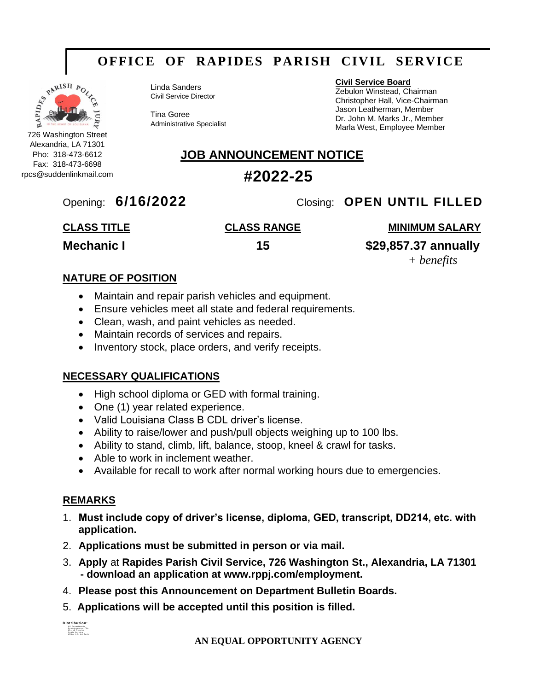## **OFFICE OF RAPIDES PARISH CIVIL SERVICE**



Alexandria, LA 71301 Pho: 318-473-6612 Fax: 318-473-6698 rpcs@suddenlinkmail.com Linda Sanders Civil Service Director

Tina Goree Administrative Specialist

#### **Civil Service Board**

Zebulon Winstead, Chairman Christopher Hall, Vice-Chairman Jason Leatherman, Member Dr. John M. Marks Jr., Member Marla West, Employee Member

### **JOB ANNOUNCEMENT NOTICE**

### **#2022-25**

### Opening: **6/16/2022** Closing: **OPEN UNTIL FILLED**

### **CLASS TITLE CLASS RANGE MINIMUM SALARY**

**Mechanic I 15 \$29,857.37 annually**

*+ benefits*

#### **NATURE OF POSITION**

- Maintain and repair parish vehicles and equipment.
- Ensure vehicles meet all state and federal requirements.
- Clean, wash, and paint vehicles as needed.
- Maintain records of services and repairs.
- Inventory stock, place orders, and verify receipts.

#### **NECESSARY QUALIFICATIONS**

- High school diploma or GED with formal training.
- One (1) year related experience.
- Valid Louisiana Class B CDL driver's license.
- Ability to raise/lower and push/pull objects weighing up to 100 lbs.
- Ability to stand, climb, lift, balance, stoop, kneel & crawl for tasks.
- Able to work in inclement weather.
- Available for recall to work after normal working hours due to emergencies.

#### **REMARKS**

- 1. **Must include copy of driver's license, diploma, GED, transcript, DD214, etc. with application.**
- 2. **Applications must be submitted in person or via mail.**
- 3. **Apply** at **Rapides Parish Civil Service, 726 Washington St., Alexandria, LA 71301 - download an application at www.rppj.com/employment.**
- 4. **Please post this Announcement on Department Bulletin Boards.**
- 5. **Applications will be accepted until this position is filled.**